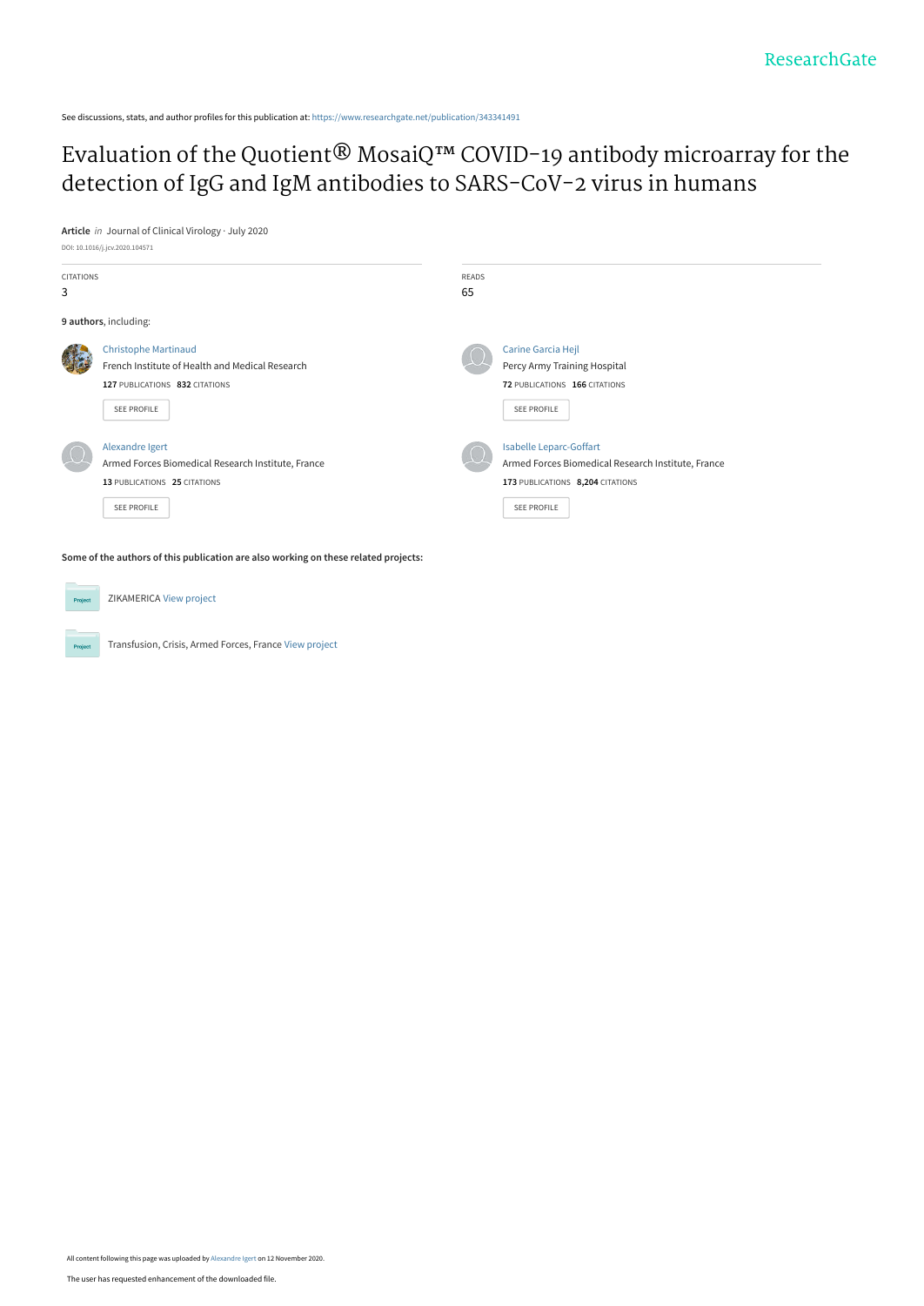See discussions, stats, and author profiles for this publication at: [https://www.researchgate.net/publication/343341491](https://www.researchgate.net/publication/343341491_Evaluation_of_the_QuotientR_MosaiQ_COVID-19_antibody_microarray_for_the_detection_of_IgG_and_IgM_antibodies_to_SARS-CoV-2_virus_in_humans?enrichId=rgreq-6f24045b11c904870b6978b809130100-XXX&enrichSource=Y292ZXJQYWdlOzM0MzM0MTQ5MTtBUzo5NTcwMjUwNzY5MzI2MDhAMTYwNTE4Mzk2NzAxOQ%3D%3D&el=1_x_2&_esc=publicationCoverPdf)

# [Evaluation of the Quotient® MosaiQ™ COVID-19 antibody microarray for the](https://www.researchgate.net/publication/343341491_Evaluation_of_the_QuotientR_MosaiQ_COVID-19_antibody_microarray_for_the_detection_of_IgG_and_IgM_antibodies_to_SARS-CoV-2_virus_in_humans?enrichId=rgreq-6f24045b11c904870b6978b809130100-XXX&enrichSource=Y292ZXJQYWdlOzM0MzM0MTQ5MTtBUzo5NTcwMjUwNzY5MzI2MDhAMTYwNTE4Mzk2NzAxOQ%3D%3D&el=1_x_3&_esc=publicationCoverPdf) detection of IgG and IgM antibodies to SARS-CoV-2 virus in humans

**Article** in Journal of Clinical Virology · July 2020 DOI: 10.1016/j.jcv.2020.104571

| <b>CITATIONS</b><br>3 |                                                                                                                                 | <b>READS</b><br>65 |                                                                                                                                         |
|-----------------------|---------------------------------------------------------------------------------------------------------------------------------|--------------------|-----------------------------------------------------------------------------------------------------------------------------------------|
|                       | 9 authors, including:                                                                                                           |                    |                                                                                                                                         |
|                       | <b>Christophe Martinaud</b><br>French Institute of Health and Medical Research<br>127 PUBLICATIONS 832 CITATIONS<br>SEE PROFILE |                    | Carine Garcia Hejl<br>Percy Army Training Hospital<br>72 PUBLICATIONS 166 CITATIONS<br>SEE PROFILE                                      |
|                       | Alexandre Igert<br>Armed Forces Biomedical Research Institute, France<br>13 PUBLICATIONS 25 CITATIONS<br><b>SEE PROFILE</b>     |                    | <b>Isabelle Leparc-Goffart</b><br>Armed Forces Biomedical Research Institute, France<br>173 PUBLICATIONS 8,204 CITATIONS<br>SEE PROFILE |

**Some of the authors of this publication are also working on these related projects:**

ZIKAMERICA [View project](https://www.researchgate.net/project/ZIKAMERICA?enrichId=rgreq-6f24045b11c904870b6978b809130100-XXX&enrichSource=Y292ZXJQYWdlOzM0MzM0MTQ5MTtBUzo5NTcwMjUwNzY5MzI2MDhAMTYwNTE4Mzk2NzAxOQ%3D%3D&el=1_x_9&_esc=publicationCoverPdf) Proj Transfusion, Crisis, Armed Forces, France [View project](https://www.researchgate.net/project/Transfusion-Crisis-Armed-Forces-France?enrichId=rgreq-6f24045b11c904870b6978b809130100-XXX&enrichSource=Y292ZXJQYWdlOzM0MzM0MTQ5MTtBUzo5NTcwMjUwNzY5MzI2MDhAMTYwNTE4Mzk2NzAxOQ%3D%3D&el=1_x_9&_esc=publicationCoverPdf) Project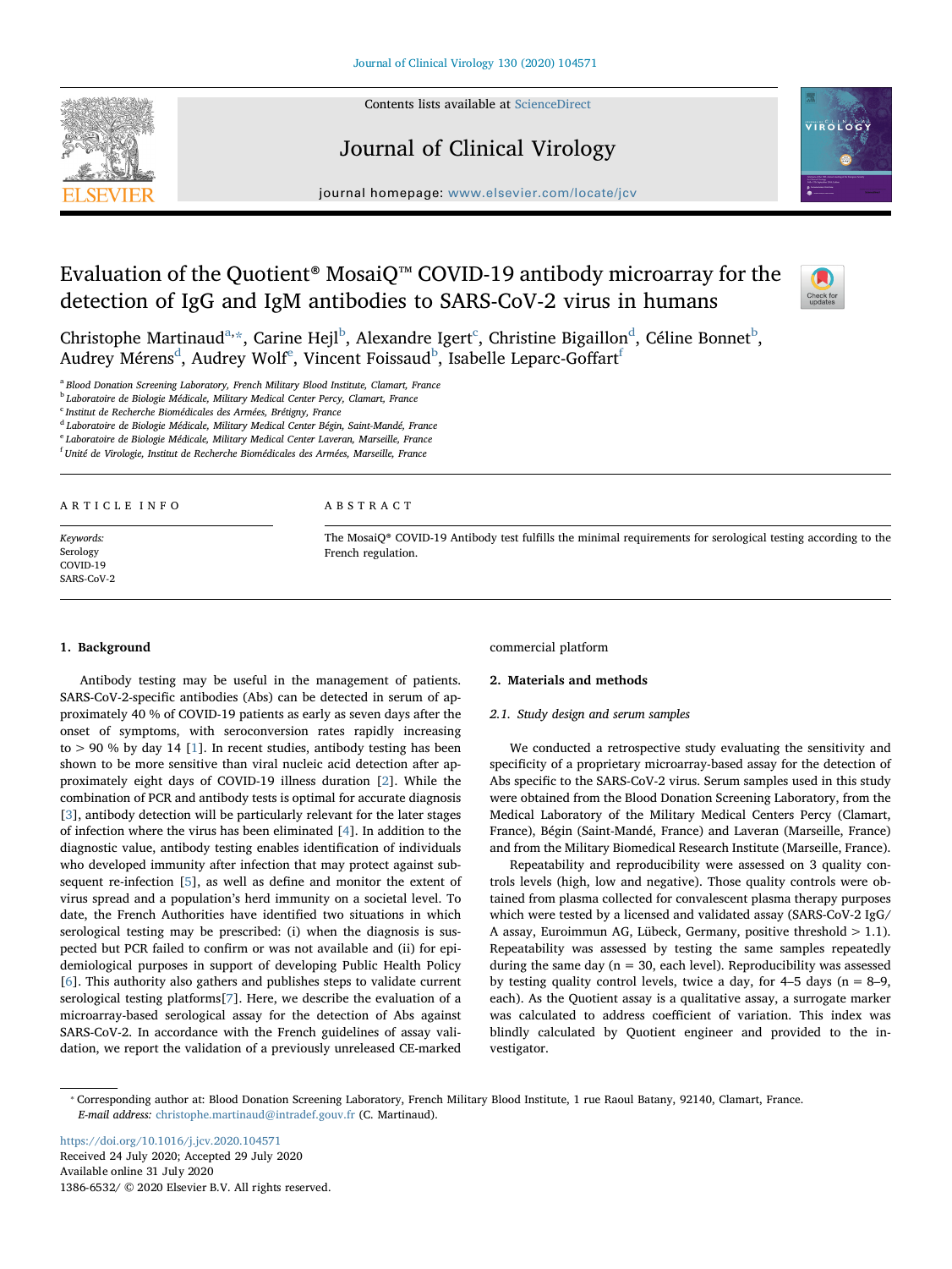

Contents lists available at [ScienceDirect](http://www.sciencedirect.com/science/journal/13866532)

## Journal of Clinical Virology



journal homepage: [www.elsevier.com/locate/jcv](https://www.elsevier.com/locate/jcv)

## Evaluation of the Quotient® MosaiQ™ COVID-19 antibody microarray for the detection of IgG and IgM antibodies to SARS-CoV-2 virus in humans



Christophe Martinau[d](#page-1-4) $a, \star$  $a, \star$ , Carine Hejl $^{\rm b}$  $^{\rm b}$  $^{\rm b}$ , Alexandre Igert $^{\rm c}$  $^{\rm c}$  $^{\rm c}$ , Christine Bigaillon $^{\rm d}$ , Céline Bonnet $^{\rm b}$ , Au[d](#page-1-4)r[e](#page-1-5)y Mérens<sup>d</sup>, Audrey Wolf<sup>e</sup>, Vincent Foissaud<sup>[b](#page-1-2)</sup>, Isabelle Leparc-Go[f](#page-1-6)fart<sup>t</sup>

<span id="page-1-0"></span><sup>a</sup> Blood Donation Screening Laboratory, French Military Blood Institute, Clamart, France

<span id="page-1-2"></span><sup>b</sup> Laboratoire de Biologie Médicale, Military Medical Center Percy, Clamart, France

<span id="page-1-3"></span><sup>c</sup> Institut de Recherche Biomédicales des Armées, Brétigny, France

<span id="page-1-4"></span><sup>d</sup> Laboratoire de Biologie Médicale, Military Medical Center Bégin, Saint-Mandé, France

<span id="page-1-5"></span>Laboratoire de Biologie Médicale, Military Medical Center Laveran, Marseille, France

<span id="page-1-6"></span><sup>f</sup> Unité de Virologie, Institut de Recherche Biomédicales des Armées, Marseille, France

#### ARTICLE INFO

Keywords: Serology COVID-19 SARS-CoV-2

#### ABSTRACT

The MosaiQ® COVID-19 Antibody test fulfills the minimal requirements for serological testing according to the French regulation.

## 1. Background

Antibody testing may be useful in the management of patients. SARS-CoV-2-specific antibodies (Abs) can be detected in serum of approximately 40 % of COVID-19 patients as early as seven days after the onset of symptoms, with seroconversion rates rapidly increasing to > 90 % by day 14 [[1](#page-4-0)]. In recent studies, antibody testing has been shown to be more sensitive than viral nucleic acid detection after approximately eight days of COVID-19 illness duration [[2](#page-4-1)]. While the combination of PCR and antibody tests is optimal for accurate diagnosis [[3](#page-4-2)], antibody detection will be particularly relevant for the later stages of infection where the virus has been eliminated [\[4\]](#page-4-3). In addition to the diagnostic value, antibody testing enables identification of individuals who developed immunity after infection that may protect against subsequent re-infection [[5](#page-5-0)], as well as define and monitor the extent of virus spread and a population's herd immunity on a societal level. To date, the French Authorities have identified two situations in which serological testing may be prescribed: (i) when the diagnosis is suspected but PCR failed to confirm or was not available and (ii) for epidemiological purposes in support of developing Public Health Policy [[6](#page-5-1)]. This authority also gathers and publishes steps to validate current serological testing platforms[[7](#page-5-2)]. Here, we describe the evaluation of a microarray-based serological assay for the detection of Abs against SARS-CoV-2. In accordance with the French guidelines of assay validation, we report the validation of a previously unreleased CE-marked

commercial platform

## 2. Materials and methods

#### 2.1. Study design and serum samples

We conducted a retrospective study evaluating the sensitivity and specificity of a proprietary microarray-based assay for the detection of Abs specific to the SARS-CoV-2 virus. Serum samples used in this study were obtained from the Blood Donation Screening Laboratory, from the Medical Laboratory of the Military Medical Centers Percy (Clamart, France), Bégin (Saint-Mandé, France) and Laveran (Marseille, France) and from the Military Biomedical Research Institute (Marseille, France).

Repeatability and reproducibility were assessed on 3 quality controls levels (high, low and negative). Those quality controls were obtained from plasma collected for convalescent plasma therapy purposes which were tested by a licensed and validated assay (SARS-CoV-2 IgG/ A assay, Euroimmun AG, Lübeck, Germany, positive threshold  $> 1.1$ ). Repeatability was assessed by testing the same samples repeatedly during the same day ( $n = 30$ , each level). Reproducibility was assessed by testing quality control levels, twice a day, for  $4-5$  days ( $n = 8-9$ , each). As the Quotient assay is a qualitative assay, a surrogate marker was calculated to address coefficient of variation. This index was blindly calculated by Quotient engineer and provided to the investigator.

<https://doi.org/10.1016/j.jcv.2020.104571> Received 24 July 2020; Accepted 29 July 2020 Available online 31 July 2020 1386-6532/ © 2020 Elsevier B.V. All rights reserved.

<span id="page-1-1"></span><sup>⁎</sup> Corresponding author at: Blood Donation Screening Laboratory, French Military Blood Institute, 1 rue Raoul Batany, 92140, Clamart, France. E-mail address: [christophe.martinaud@intradef.gouv.fr](mailto:christophe.martinaud@intradef.gouv.fr) (C. Martinaud).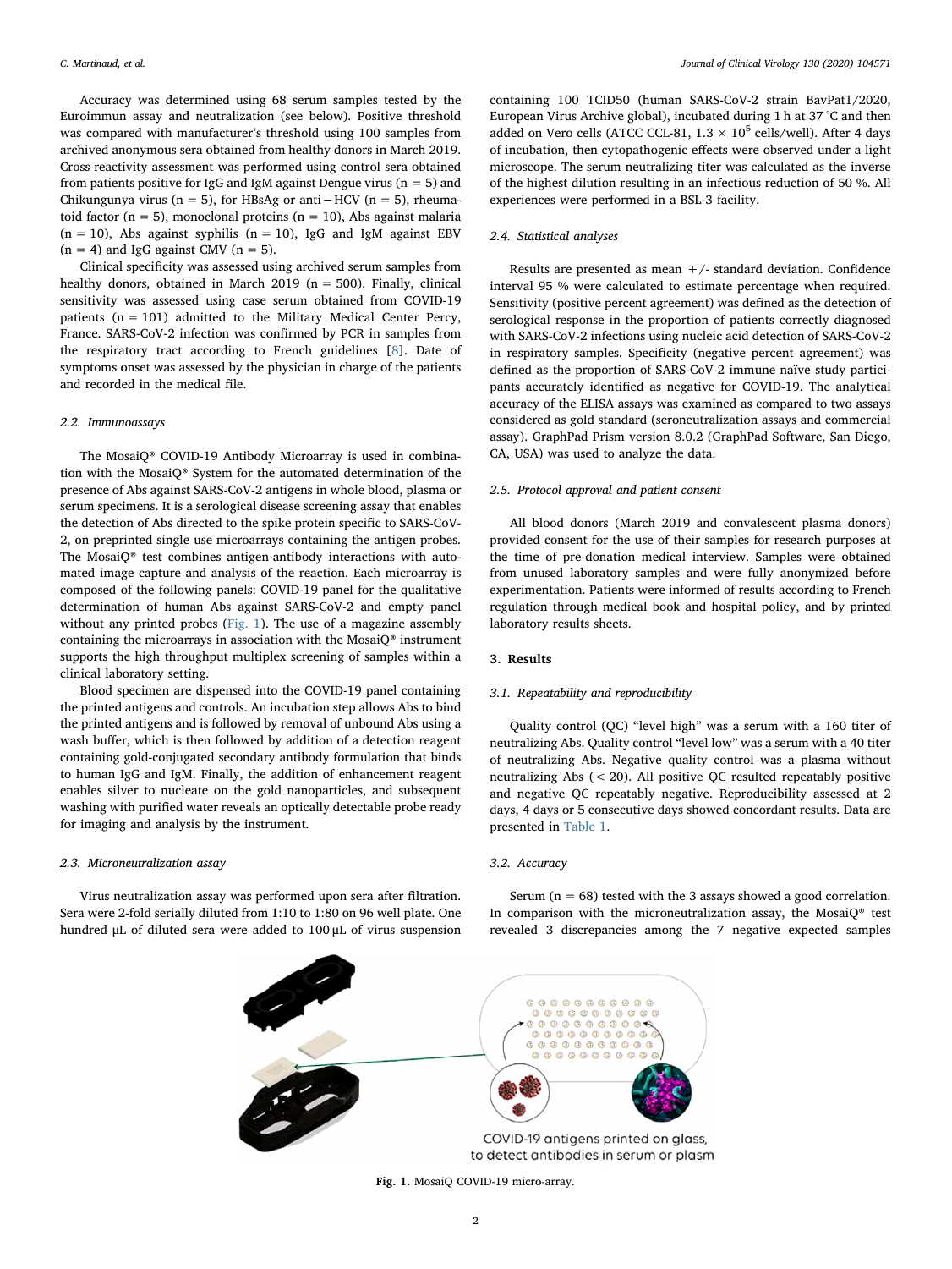Accuracy was determined using 68 serum samples tested by the Euroimmun assay and neutralization (see below). Positive threshold was compared with manufacturer's threshold using 100 samples from archived anonymous sera obtained from healthy donors in March 2019. Cross-reactivity assessment was performed using control sera obtained from patients positive for IgG and IgM against Dengue virus ( $n = 5$ ) and Chikungunya virus (n = 5), for HBsAg or anti−HCV (n = 5), rheumatoid factor ( $n = 5$ ), monoclonal proteins ( $n = 10$ ), Abs against malaria  $(n = 10)$ , Abs against syphilis  $(n = 10)$ , IgG and IgM against EBV  $(n = 4)$  and IgG against CMV  $(n = 5)$ .

Clinical specificity was assessed using archived serum samples from healthy donors, obtained in March 2019 ( $n = 500$ ). Finally, clinical sensitivity was assessed using case serum obtained from COVID-19 patients  $(n = 101)$  admitted to the Military Medical Center Percy, France. SARS-CoV-2 infection was confirmed by PCR in samples from the respiratory tract according to French guidelines [\[8\]](#page-5-3). Date of symptoms onset was assessed by the physician in charge of the patients and recorded in the medical file.

## 2.2. Immunoassays

The MosaiQ® COVID-19 Antibody Microarray is used in combination with the MosaiQ® System for the automated determination of the presence of Abs against SARS-CoV-2 antigens in whole blood, plasma or serum specimens. It is a serological disease screening assay that enables the detection of Abs directed to the spike protein specific to SARS-CoV-2, on preprinted single use microarrays containing the antigen probes. The MosaiQ® test combines antigen-antibody interactions with automated image capture and analysis of the reaction. Each microarray is composed of the following panels: COVID-19 panel for the qualitative determination of human Abs against SARS-CoV-2 and empty panel without any printed probes [\(Fig. 1](#page-2-0)). The use of a magazine assembly containing the microarrays in association with the Mosai $Q^*$  instrument supports the high throughput multiplex screening of samples within a clinical laboratory setting.

Blood specimen are dispensed into the COVID-19 panel containing the printed antigens and controls. An incubation step allows Abs to bind the printed antigens and is followed by removal of unbound Abs using a wash buffer, which is then followed by addition of a detection reagent containing gold-conjugated secondary antibody formulation that binds to human IgG and IgM. Finally, the addition of enhancement reagent enables silver to nucleate on the gold nanoparticles, and subsequent washing with purified water reveals an optically detectable probe ready for imaging and analysis by the instrument.

### 2.3. Microneutralization assay

<span id="page-2-0"></span>Virus neutralization assay was performed upon sera after filtration. Sera were 2-fold serially diluted from 1:10 to 1:80 on 96 well plate. One hundred μL of diluted sera were added to 100 μL of virus suspension

containing 100 TCID50 (human SARS-CoV-2 strain BavPat1/2020, European Virus Archive global), incubated during 1 h at 37 °C and then added on Vero cells (ATCC CCL-81,  $1.3 \times 10^5$  cells/well). After 4 days of incubation, then cytopathogenic effects were observed under a light microscope. The serum neutralizing titer was calculated as the inverse of the highest dilution resulting in an infectious reduction of 50 %. All experiences were performed in a BSL-3 facility.

## 2.4. Statistical analyses

Results are presented as mean  $+/$ - standard deviation. Confidence interval 95 % were calculated to estimate percentage when required. Sensitivity (positive percent agreement) was defined as the detection of serological response in the proportion of patients correctly diagnosed with SARS-CoV-2 infections using nucleic acid detection of SARS-CoV-2 in respiratory samples. Specificity (negative percent agreement) was defined as the proportion of SARS-CoV-2 immune naïve study participants accurately identified as negative for COVID-19. The analytical accuracy of the ELISA assays was examined as compared to two assays considered as gold standard (seroneutralization assays and commercial assay). GraphPad Prism version 8.0.2 (GraphPad Software, San Diego, CA, USA) was used to analyze the data.

#### 2.5. Protocol approval and patient consent

All blood donors (March 2019 and convalescent plasma donors) provided consent for the use of their samples for research purposes at the time of pre-donation medical interview. Samples were obtained from unused laboratory samples and were fully anonymized before experimentation. Patients were informed of results according to French regulation through medical book and hospital policy, and by printed laboratory results sheets.

## 3. Results

## 3.1. Repeatability and reproducibility

Quality control (QC) "level high" was a serum with a 160 titer of neutralizing Abs. Quality control "level low" was a serum with a 40 titer of neutralizing Abs. Negative quality control was a plasma without neutralizing Abs (< 20). All positive QC resulted repeatably positive and negative QC repeatably negative. Reproducibility assessed at 2 days, 4 days or 5 consecutive days showed concordant results. Data are presented in [Table 1.](#page-3-0)

## 3.2. Accuracy

Serum ( $n = 68$ ) tested with the 3 assays showed a good correlation. In comparison with the microneutralization assay, the MosaiQ® test revealed 3 discrepancies among the 7 negative expected samples



Fig. 1. MosaiQ COVID-19 micro-array.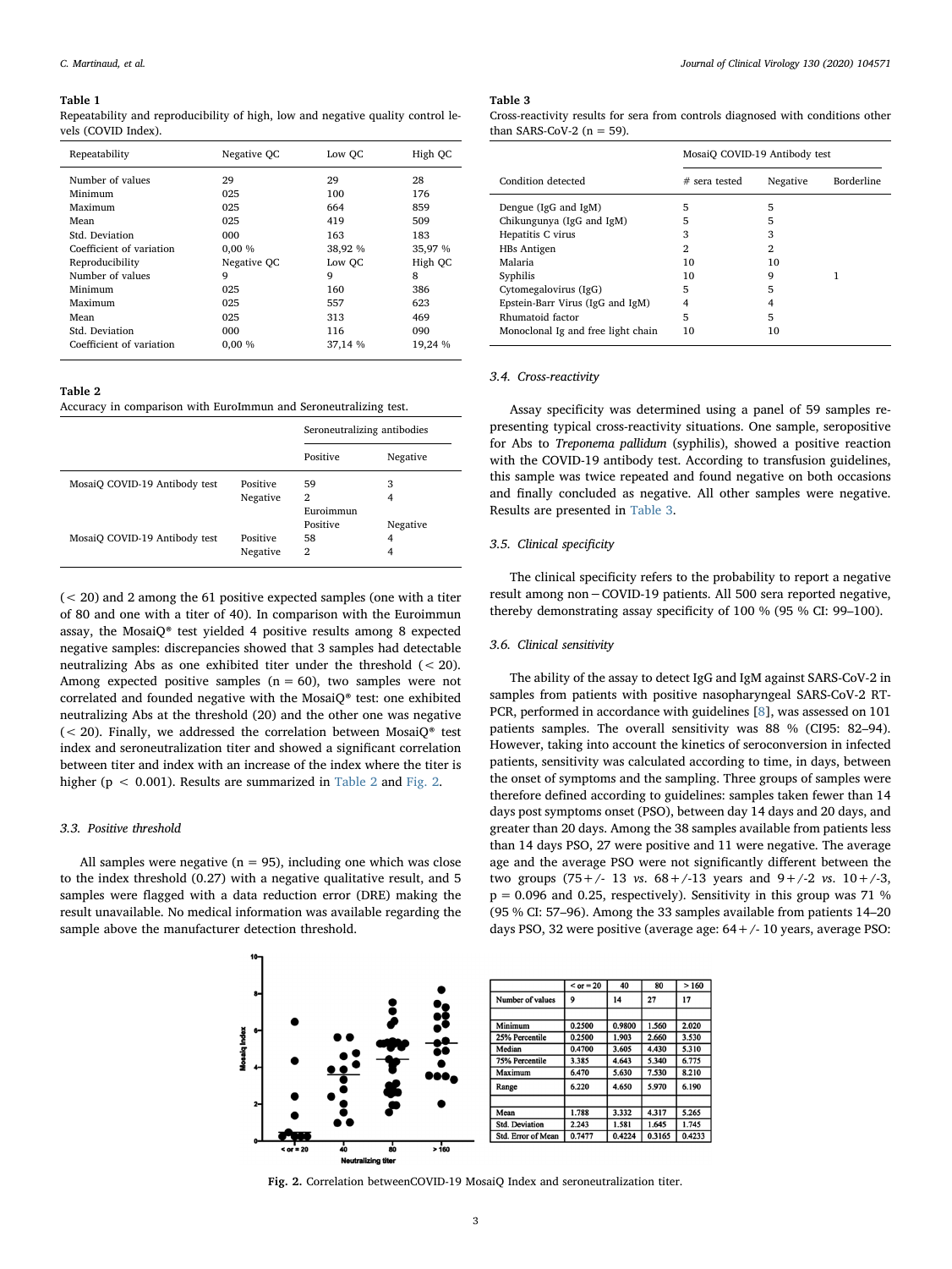#### <span id="page-3-0"></span>Table 1

Repeatability and reproducibility of high, low and negative quality control levels (COVID Index).

| Repeatability            | Negative OC | Low OC  | High OC |
|--------------------------|-------------|---------|---------|
| Number of values         | 29          | 29      | 28      |
| Minimum                  | 025         | 100     | 176     |
| Maximum                  | 025         | 664     | 859     |
| Mean                     | 025         | 419     | 509     |
| Std. Deviation           | 000         | 163     | 183     |
| Coefficient of variation | 0.00%       | 38,92 % | 35,97 % |
| Reproducibility          | Negative OC | Low OC  | High OC |
| Number of values         | 9           | 9       | 8       |
| Minimum                  | 025         | 160     | 386     |
| Maximum                  | 025         | 557     | 623     |
| Mean                     | 025         | 313     | 469     |
| Std. Deviation           | 000         | 116     | 090     |
| Coefficient of variation | 0.00%       | 37,14 % | 19.24 % |

#### <span id="page-3-1"></span>Table 2

Accuracy in comparison with EuroImmun and Seroneutralizing test.

|                               |          | Seroneutralizing antibodies |          |
|-------------------------------|----------|-----------------------------|----------|
|                               |          | Positive                    | Negative |
| MosaiO COVID-19 Antibody test | Positive | 59                          | 3        |
|                               | Negative | 2                           | 4        |
|                               |          | Euroimmun                   |          |
|                               |          | Positive                    | Negative |
| MosaiO COVID-19 Antibody test | Positive | 58                          | 4        |
|                               | Negative | 2                           | 4        |

(< 20) and 2 among the 61 positive expected samples (one with a titer of 80 and one with a titer of 40). In comparison with the Euroimmun assay, the MosaiQ® test yielded 4 positive results among 8 expected negative samples: discrepancies showed that 3 samples had detectable neutralizing Abs as one exhibited titer under the threshold (< 20). Among expected positive samples  $(n = 60)$ , two samples were not correlated and founded negative with the MosaiQ® test: one exhibited neutralizing Abs at the threshold (20) and the other one was negative  $(< 20$ ). Finally, we addressed the correlation between Mosai $Q^*$  test index and seroneutralization titer and showed a significant correlation between titer and index with an increase of the index where the titer is higher (p < 0.001). Results are summarized in [Table 2](#page-3-1) and [Fig. 2.](#page-3-2)

#### 3.3. Positive threshold

<span id="page-3-2"></span>All samples were negative ( $n = 95$ ), including one which was close to the index threshold (0.27) with a negative qualitative result, and 5 samples were flagged with a data reduction error (DRE) making the result unavailable. No medical information was available regarding the sample above the manufacturer detection threshold.

<span id="page-3-3"></span>Table 3

Cross-reactivity results for sera from controls diagnosed with conditions other than SARS-CoV-2  $(n = 59)$ .

|                                    | MosaiO COVID-19 Antibody test |          |                   |
|------------------------------------|-------------------------------|----------|-------------------|
| Condition detected                 | $#$ sera tested               | Negative | <b>Borderline</b> |
| Dengue (IgG and IgM)               | 5                             | 5        |                   |
| Chikungunya (IgG and IgM)          | 5                             | 5        |                   |
| Hepatitis C virus                  | 3                             | 3        |                   |
| HBs Antigen                        | 2                             | 2        |                   |
| Malaria                            | 10                            | 10       |                   |
| Syphilis                           | 10                            | 9        | 1                 |
| Cytomegalovirus (IgG)              | 5                             | 5        |                   |
| Epstein-Barr Virus (IgG and IgM)   | 4                             | 4        |                   |
| Rhumatoid factor                   | 5                             | 5        |                   |
| Monoclonal Ig and free light chain | 10                            | 10       |                   |

## 3.4. Cross-reactivity

Assay specificity was determined using a panel of 59 samples representing typical cross-reactivity situations. One sample, seropositive for Abs to Treponema pallidum (syphilis), showed a positive reaction with the COVID-19 antibody test. According to transfusion guidelines, this sample was twice repeated and found negative on both occasions and finally concluded as negative. All other samples were negative. Results are presented in [Table 3](#page-3-3).

#### 3.5. Clinical specificity

The clinical specificity refers to the probability to report a negative result among non−COVID-19 patients. All 500 sera reported negative, thereby demonstrating assay specificity of 100 % (95 % CI: 99–100).

## 3.6. Clinical sensitivity

The ability of the assay to detect IgG and IgM against SARS-CoV-2 in samples from patients with positive nasopharyngeal SARS-CoV-2 RT-PCR, performed in accordance with guidelines [\[8](#page-5-3)], was assessed on 101 patients samples. The overall sensitivity was 88 % (CI95: 82–94). However, taking into account the kinetics of seroconversion in infected patients, sensitivity was calculated according to time, in days, between the onset of symptoms and the sampling. Three groups of samples were therefore defined according to guidelines: samples taken fewer than 14 days post symptoms onset (PSO), between day 14 days and 20 days, and greater than 20 days. Among the 38 samples available from patients less than 14 days PSO, 27 were positive and 11 were negative. The average age and the average PSO were not significantly different between the two groups  $(75+/-13 \text{ vs. } 68+/-13 \text{ years and } 9+/-2 \text{ vs. } 10+/-3,$  $p = 0.096$  and 0.25, respectively). Sensitivity in this group was 71 % (95 % CI: 57–96). Among the 33 samples available from patients 14–20 days PSO, 32 were positive (average age:  $64 + / - 10$  years, average PSO:



Fig. 2. Correlation betweenCOVID-19 MosaiQ Index and seroneutralization titer.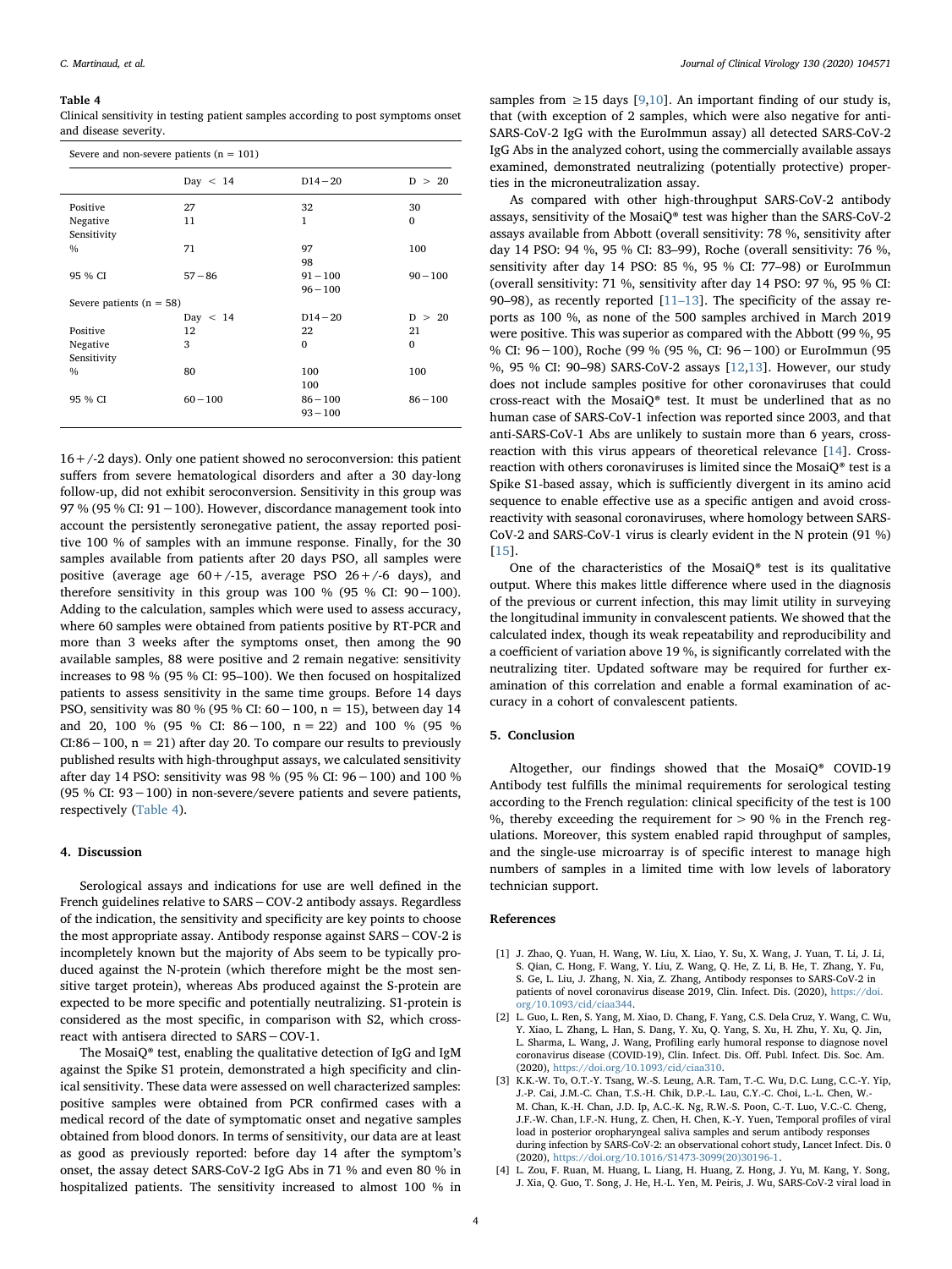#### <span id="page-4-4"></span>Table 4

Clinical sensitivity in testing patient samples according to post symptoms onset and disease severity.

| Severe and non-severe patients $(n = 101)$ |            |            |            |  |
|--------------------------------------------|------------|------------|------------|--|
|                                            | Day $< 14$ | $D14 - 20$ | D > 20     |  |
| Positive                                   | 27         | 32         | 30         |  |
| Negative                                   | 11         | 1          | $\Omega$   |  |
| Sensitivity                                |            |            |            |  |
| $\frac{0}{0}$                              | 71         | 97         | 100        |  |
|                                            |            | 98         |            |  |
| 95 % CI                                    | $57 - 86$  | $91 - 100$ | $90 - 100$ |  |
|                                            |            | $96 - 100$ |            |  |
| Severe patients ( $n = 58$ )               |            |            |            |  |
|                                            | Day $< 14$ | $D14 - 20$ | D ><br>-20 |  |
| Positive                                   | 12         | 22         | 21         |  |
| Negative                                   | 3          | $\Omega$   | $\Omega$   |  |
| Sensitivity                                |            |            |            |  |
| $\frac{0}{0}$                              | 80         | 100        | 100        |  |
|                                            |            | 100        |            |  |
| 95 % CI                                    | $60 - 100$ | $86 - 100$ | $86 - 100$ |  |
|                                            |            | $93 - 100$ |            |  |
|                                            |            |            |            |  |

 $16 + (-2$  days). Only one patient showed no seroconversion: this patient suffers from severe hematological disorders and after a 30 day-long follow-up, did not exhibit seroconversion. Sensitivity in this group was 97 % (95 % CI: 91−100). However, discordance management took into account the persistently seronegative patient, the assay reported positive 100 % of samples with an immune response. Finally, for the 30 samples available from patients after 20 days PSO, all samples were positive (average age  $60+/-15$ , average PSO  $26+/-6$  days), and therefore sensitivity in this group was 100 % (95 % CI:  $90-100$ ). Adding to the calculation, samples which were used to assess accuracy, where 60 samples were obtained from patients positive by RT-PCR and more than 3 weeks after the symptoms onset, then among the 90 available samples, 88 were positive and 2 remain negative: sensitivity increases to 98 % (95 % CI: 95–100). We then focused on hospitalized patients to assess sensitivity in the same time groups. Before 14 days PSO, sensitivity was 80 % (95 % CI: 60−100, n = 15), between day 14 and 20, 100 % (95 % CI: 86−100, n = 22) and 100 % (95 % CI:86−100, n = 21) after day 20. To compare our results to previously published results with high-throughput assays, we calculated sensitivity after day 14 PSO: sensitivity was 98 % (95 % CI: 96−100) and 100 % (95 % CI: 93−100) in non-severe/severe patients and severe patients, respectively [\(Table 4](#page-4-4)).

#### 4. Discussion

Serological assays and indications for use are well defined in the French guidelines relative to SARS−COV-2 antibody assays. Regardless of the indication, the sensitivity and specificity are key points to choose the most appropriate assay. Antibody response against SARS−COV-2 is incompletely known but the majority of Abs seem to be typically produced against the N-protein (which therefore might be the most sensitive target protein), whereas Abs produced against the S-protein are expected to be more specific and potentially neutralizing. S1-protein is considered as the most specific, in comparison with S2, which crossreact with antisera directed to SARS−COV-1.

The MosaiQ® test, enabling the qualitative detection of IgG and IgM against the Spike S1 protein, demonstrated a high specificity and clinical sensitivity. These data were assessed on well characterized samples: positive samples were obtained from PCR confirmed cases with a medical record of the date of symptomatic onset and negative samples obtained from blood donors. In terms of sensitivity, our data are at least as good as previously reported: before day 14 after the symptom's onset, the assay detect SARS-CoV-2 IgG Abs in 71 % and even 80 % in hospitalized patients. The sensitivity increased to almost 100 % in

samples from ≥15 days [[9](#page-5-4)[,10](#page-5-5)]. An important finding of our study is, that (with exception of 2 samples, which were also negative for anti-SARS-CoV-2 IgG with the EuroImmun assay) all detected SARS-CoV-2 IgG Abs in the analyzed cohort, using the commercially available assays examined, demonstrated neutralizing (potentially protective) properties in the microneutralization assay.

As compared with other high-throughput SARS-CoV-2 antibody assays, sensitivity of the MosaiQ® test was higher than the SARS-CoV-2 assays available from Abbott (overall sensitivity: 78 %, sensitivity after day 14 PSO: 94 %, 95 % CI: 83–99), Roche (overall sensitivity: 76 %, sensitivity after day 14 PSO: 85 %, 95 % CI: 77–98) or EuroImmun (overall sensitivity: 71 %, sensitivity after day 14 PSO: 97 %, 95 % CI: 90–98), as recently reported  $[11-13]$  $[11-13]$ . The specificity of the assay reports as 100 %, as none of the 500 samples archived in March 2019 were positive. This was superior as compared with the Abbott (99 %, 95 % CI: 96−100), Roche (99 % (95 %, CI: 96−100) or EuroImmun (95 %, 95 % CI: 90–98) SARS-CoV-2 assays [\[12](#page-5-7)[,13](#page-5-8)]. However, our study does not include samples positive for other coronaviruses that could cross-react with the MosaiQ® test. It must be underlined that as no human case of SARS-CoV-1 infection was reported since 2003, and that anti-SARS-CoV-1 Abs are unlikely to sustain more than 6 years, crossreaction with this virus appears of theoretical relevance [\[14](#page-5-9)]. Crossreaction with others coronaviruses is limited since the MosaiQ® test is a Spike S1-based assay, which is sufficiently divergent in its amino acid sequence to enable effective use as a specific antigen and avoid crossreactivity with seasonal coronaviruses, where homology between SARS-CoV-2 and SARS-CoV-1 virus is clearly evident in the N protein (91 %) [[15\]](#page-5-10).

One of the characteristics of the MosaiQ® test is its qualitative output. Where this makes little difference where used in the diagnosis of the previous or current infection, this may limit utility in surveying the longitudinal immunity in convalescent patients. We showed that the calculated index, though its weak repeatability and reproducibility and a coefficient of variation above 19 %, is significantly correlated with the neutralizing titer. Updated software may be required for further examination of this correlation and enable a formal examination of accuracy in a cohort of convalescent patients.

## 5. Conclusion

Altogether, our findings showed that the MosaiQ® COVID-19 Antibody test fulfills the minimal requirements for serological testing according to the French regulation: clinical specificity of the test is 100 %, thereby exceeding the requirement for  $> 90$  % in the French regulations. Moreover, this system enabled rapid throughput of samples, and the single-use microarray is of specific interest to manage high numbers of samples in a limited time with low levels of laboratory technician support.

#### References

- <span id="page-4-0"></span>[1] J. Zhao, Q. Yuan, H. Wang, W. Liu, X. Liao, Y. Su, X. Wang, J. Yuan, T. Li, J. Li, S. Qian, C. Hong, F. Wang, Y. Liu, Z. Wang, Q. He, Z. Li, B. He, T. Zhang, Y. Fu, S. Ge, L. Liu, J. Zhang, N. Xia, Z. Zhang, Antibody responses to SARS-CoV-2 in patients of novel coronavirus disease 2019, Clin. Infect. Dis. (2020), [https://doi.](https://doi.org/10.1093/cid/ciaa344) [org/10.1093/cid/ciaa344.](https://doi.org/10.1093/cid/ciaa344)
- <span id="page-4-1"></span>[2] L. Guo, L. Ren, S. Yang, M. Xiao, D. Chang, F. Yang, C.S. Dela Cruz, Y. Wang, C. Wu, Y. Xiao, L. Zhang, L. Han, S. Dang, Y. Xu, Q. Yang, S. Xu, H. Zhu, Y. Xu, Q. Jin, L. Sharma, L. Wang, J. Wang, Profiling early humoral response to diagnose novel coronavirus disease (COVID-19), Clin. Infect. Dis. Off. Publ. Infect. Dis. Soc. Am. (2020), [https://doi.org/10.1093/cid/ciaa310.](https://doi.org/10.1093/cid/ciaa310)
- <span id="page-4-2"></span>[3] K.K.-W. To, O.T.-Y. Tsang, W.-S. Leung, A.R. Tam, T.-C. Wu, D.C. Lung, C.C.-Y. Yip, J.-P. Cai, J.M.-C. Chan, T.S.-H. Chik, D.P.-L. Lau, C.Y.-C. Choi, L.-L. Chen, W.- M. Chan, K.-H. Chan, J.D. Ip, A.C.-K. Ng, R.W.-S. Poon, C.-T. Luo, V.C.-C. Cheng, J.F.-W. Chan, I.F.-N. Hung, Z. Chen, H. Chen, K.-Y. Yuen, Temporal profiles of viral load in posterior oropharyngeal saliva samples and serum antibody responses during infection by SARS-CoV-2: an observational cohort study, Lancet Infect. Dis. 0 (2020), [https://doi.org/10.1016/S1473-3099\(20\)30196-1.](https://doi.org/10.1016/S1473-3099(20)30196-1)
- <span id="page-4-3"></span>[4] L. Zou, F. Ruan, M. Huang, L. Liang, H. Huang, Z. Hong, J. Yu, M. Kang, Y. Song, J. Xia, Q. Guo, T. Song, J. He, H.-L. Yen, M. Peiris, J. Wu, SARS-CoV-2 viral load in